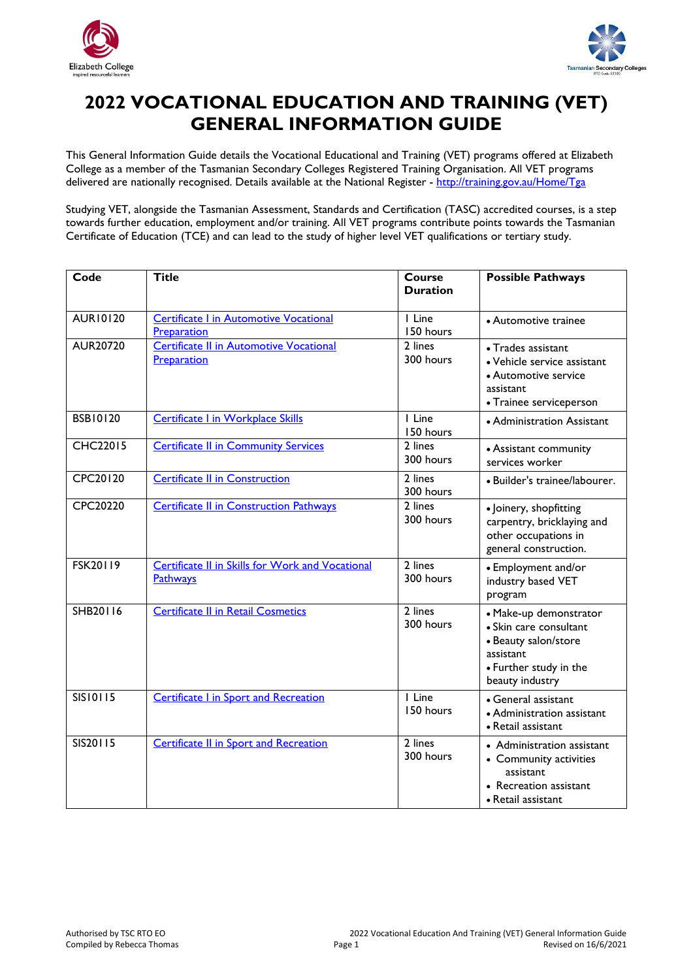



# **2022 VOCATIONAL EDUCATION AND TRAINING (VET) GENERAL INFORMATION GUIDE**

This General Information Guide details the Vocational Educational and Training (VET) programs offered at Elizabeth College as a member of the Tasmanian Secondary Colleges Registered Training Organisation. All VET programs delivered are nationally recognised. Details available at the National Register -<http://training.gov.au/Home/Tga>

Studying VET, alongside the Tasmanian Assessment, Standards and Certification (TASC) accredited courses, is a step towards further education, employment and/or training. All VET programs contribute points towards the Tasmanian Certificate of Education (TCE) and can lead to the study of higher level VET qualifications or tertiary study.

| Code            | <b>Title</b>                                                        | <b>Course</b><br><b>Duration</b> | <b>Possible Pathways</b>                                                                                                           |
|-----------------|---------------------------------------------------------------------|----------------------------------|------------------------------------------------------------------------------------------------------------------------------------|
| <b>AUR10120</b> | <b>Certificate I in Automotive Vocational</b><br>Preparation        | I Line<br>150 hours              | • Automotive trainee                                                                                                               |
| <b>AUR20720</b> | <b>Certificate II in Automotive Vocational</b><br>Preparation       | 2 lines<br>300 hours             | • Trades assistant<br>· Vehicle service assistant<br>• Automotive service<br>assistant<br>• Trainee serviceperson                  |
| <b>BSB10120</b> | Certificate I in Workplace Skills                                   | I Line<br>150 hours              | • Administration Assistant                                                                                                         |
| <b>CHC22015</b> | <b>Certificate II in Community Services</b>                         | 2 lines<br>300 hours             | • Assistant community<br>services worker                                                                                           |
| CPC20120        | <b>Certificate II in Construction</b>                               | 2 lines<br>300 hours             | · Builder's trainee/labourer.                                                                                                      |
| CPC20220        | <b>Certificate II in Construction Pathways</b>                      | 2 lines<br>300 hours             | · Joinery, shopfitting<br>carpentry, bricklaying and<br>other occupations in<br>general construction.                              |
| <b>FSK20119</b> | <b>Certificate II in Skills for Work and Vocational</b><br>Pathways | 2 lines<br>300 hours             | • Employment and/or<br>industry based VET<br>program                                                                               |
| SHB20116        | <b>Certificate II in Retail Cosmetics</b>                           | 2 lines<br>300 hours             | · Make-up demonstrator<br>• Skin care consultant<br>• Beauty salon/store<br>assistant<br>• Further study in the<br>beauty industry |
| <b>SIS10115</b> | <b>Certificate I in Sport and Recreation</b>                        | I Line<br>150 hours              | • General assistant<br>• Administration assistant<br>• Retail assistant                                                            |
| SIS20115        | <b>Certificate II in Sport and Recreation</b>                       | 2 lines<br>300 hours             | • Administration assistant<br>• Community activities<br>assistant<br>• Recreation assistant<br>• Retail assistant                  |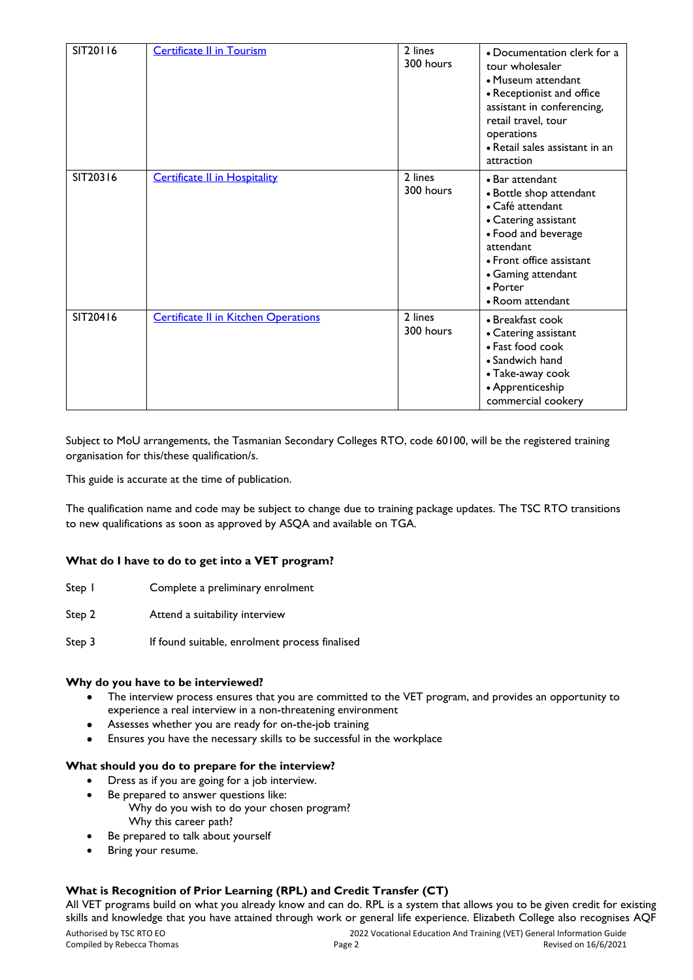| SIT20116 | <b>Certificate II in Tourism</b>            | 2 lines<br>300 hours | • Documentation clerk for a<br>tour wholesaler<br>• Museum attendant<br>• Receptionist and office<br>assistant in conferencing,<br>retail travel, tour<br>operations<br>• Retail sales assistant in an<br>attraction |
|----------|---------------------------------------------|----------------------|----------------------------------------------------------------------------------------------------------------------------------------------------------------------------------------------------------------------|
| SIT20316 | <b>Certificate II in Hospitality</b>        | 2 lines<br>300 hours | • Bar attendant<br>• Bottle shop attendant<br>• Café attendant<br>• Catering assistant<br>• Food and beverage<br>attendant<br>• Front office assistant<br>• Gaming attendant<br>• Porter<br>• Room attendant         |
| SIT20416 | <b>Certificate II in Kitchen Operations</b> | 2 lines<br>300 hours | • Breakfast cook<br>• Catering assistant<br>• Fast food cook<br>• Sandwich hand<br>• Take-away cook<br>• Apprenticeship<br>commercial cookery                                                                        |

Subject to MoU arrangements, the Tasmanian Secondary Colleges RTO, code 60100, will be the registered training organisation for this/these qualification/s.

This guide is accurate at the time of publication.

The qualification name and code may be subject to change due to training package updates. The TSC RTO transitions to new qualifications as soon as approved by ASQA and available on TGA.

# **What do I have to do to get into a VET program?**

- Step 1 Complete a preliminary enrolment
- Step 2 **Attend a suitability interview**
- Step 3 If found suitable, enrolment process finalised

#### **Why do you have to be interviewed?**

- The interview process ensures that you are committed to the VET program, and provides an opportunity to experience a real interview in a non-threatening environment
- Assesses whether you are ready for on-the-job training
- Ensures you have the necessary skills to be successful in the workplace

#### **What should you do to prepare for the interview?**

- Dress as if you are going for a job interview.
- Be prepared to answer questions like: Why do you wish to do your chosen program? Why this career path?
- Be prepared to talk about yourself
- Bring your resume.

# **What is Recognition of Prior Learning (RPL) and Credit Transfer (CT)**

All VET programs build on what you already know and can do. RPL is a system that allows you to be given credit for existing skills and knowledge that you have attained through work or general life experience. Elizabeth College also recognises AQF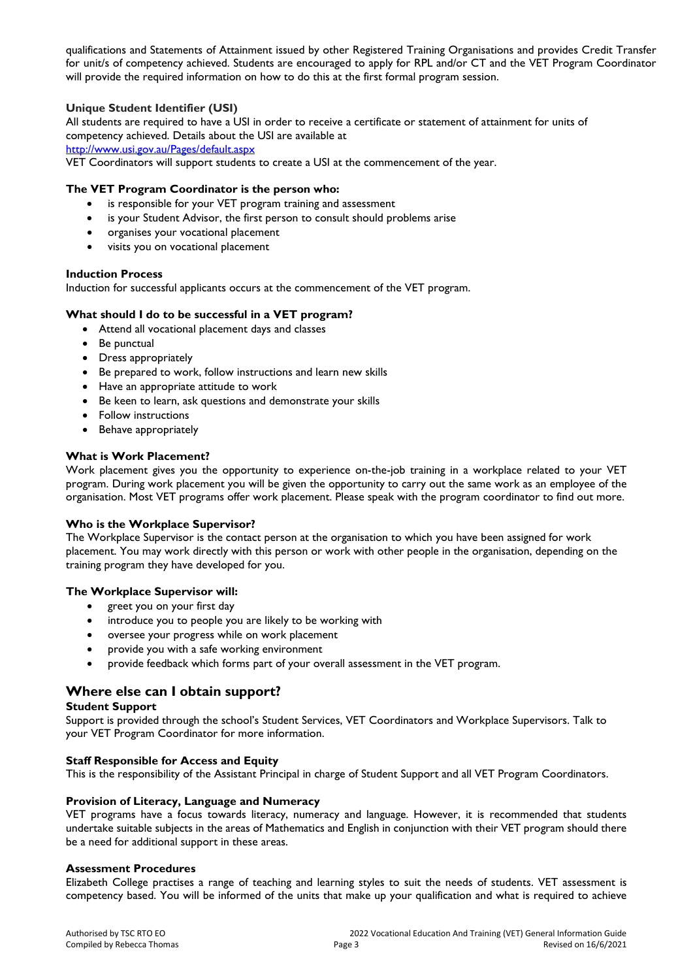qualifications and Statements of Attainment issued by other Registered Training Organisations and provides Credit Transfer for unit/s of competency achieved. Students are encouraged to apply for RPL and/or CT and the VET Program Coordinator will provide the required information on how to do this at the first formal program session.

## **Unique Student Identifier (USI)**

All students are required to have a USI in order to receive a certificate or statement of attainment for units of competency achieved. Details about the USI are available at <http://www.usi.gov.au/Pages/default.aspx>

VET Coordinators will support students to create a USI at the commencement of the year.

#### **The VET Program Coordinator is the person who:**

- is responsible for your VET program training and assessment
- is your Student Advisor, the first person to consult should problems arise
- organises your vocational placement
- visits you on vocational placement

#### **Induction Process**

Induction for successful applicants occurs at the commencement of the VET program.

#### **What should I do to be successful in a VET program?**

- Attend all vocational placement days and classes
- Be punctual
- Dress appropriately
- Be prepared to work, follow instructions and learn new skills
- Have an appropriate attitude to work
- Be keen to learn, ask questions and demonstrate your skills
- Follow instructions
- Behave appropriately

#### **What is Work Placement?**

Work placement gives you the opportunity to experience on-the-job training in a workplace related to your VET program. During work placement you will be given the opportunity to carry out the same work as an employee of the organisation. Most VET programs offer work placement. Please speak with the program coordinator to find out more.

#### **Who is the Workplace Supervisor?**

The Workplace Supervisor is the contact person at the organisation to which you have been assigned for work placement. You may work directly with this person or work with other people in the organisation, depending on the training program they have developed for you.

#### **The Workplace Supervisor will:**

- greet you on your first day
- introduce you to people you are likely to be working with
- oversee your progress while on work placement
- provide you with a safe working environment
- provide feedback which forms part of your overall assessment in the VET program.

# **Where else can I obtain support?**

# **Student Support**

Support is provided through the school's Student Services, VET Coordinators and Workplace Supervisors. Talk to your VET Program Coordinator for more information.

#### **Staff Responsible for Access and Equity**

This is the responsibility of the Assistant Principal in charge of Student Support and all VET Program Coordinators.

#### **Provision of Literacy, Language and Numeracy**

VET programs have a focus towards literacy, numeracy and language. However, it is recommended that students undertake suitable subjects in the areas of Mathematics and English in conjunction with their VET program should there be a need for additional support in these areas.

#### **Assessment Procedures**

Elizabeth College practises a range of teaching and learning styles to suit the needs of students. VET assessment is competency based. You will be informed of the units that make up your qualification and what is required to achieve